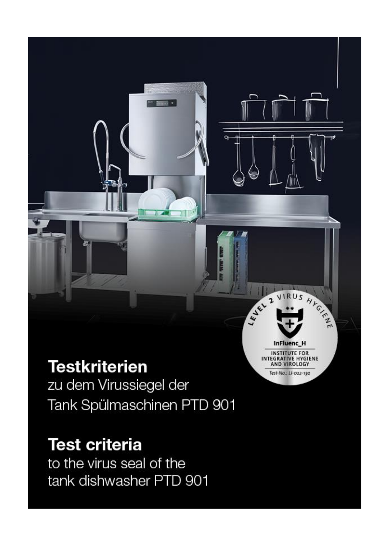# **Testkriterien**

zu dem Virussiegel der Tank Spülmaschinen PTD 901 JEL 2 VIRUS HYGH

**InFluenc H INSTITUTE FOR** INTEGRATIVE HYGIENE<br>AND VIROLOGY

Test-No.: LI-022-130

# **Test criteria**

to the virus seal of the tank dishwasher PTD 901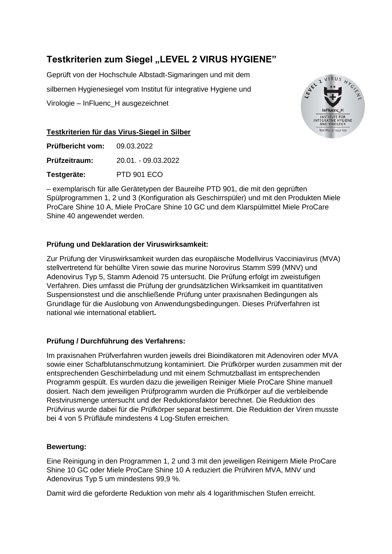## **Testkriterien zum Siegel "LEVEL 2 VIRUS HYGIENE"**

Geprüft von der Hochschule Albstadt-Sigmaringen und mit dem silbernen Hygienesiegel vom Institut für integrative Hygiene und Virologie – InFluenc\_H ausgezeichnet



#### **Testkriterien für das Virus-Siegel in Silber**

| <b>Prüfbericht vom:</b> | 09.03.2022          |
|-------------------------|---------------------|
| Prüfzeitraum:           | 20.01. - 09.03.2022 |
| Testgeräte:             | <b>PTD 901 ECO</b>  |

– exemplarisch für alle Gerätetypen der Baureihe PTD 901, die mit den geprüften Spülprogrammen 1, 2 und 3 (Konfiguration als Geschirrspüler) und mit den Produkten Miele ProCare Shine 10 A, Miele ProCare Shine 10 GC und dem Klarspülmittel Miele ProCare Shine 40 angewendet werden.

#### **Prüfung und Deklaration der Viruswirksamkeit:**

Zur Prüfung der Viruswirksamkeit wurden das europäische Modellvirus Vacciniavirus (MVA) stellvertretend für behüllte Viren sowie das murine Norovirus Stamm S99 (MNV) und Adenovirus Typ 5, Stamm Adenoid 75 untersucht. Die Prüfung erfolgt im zweistufigen Verfahren. Dies umfasst die Prüfung der grundsätzlichen Wirksamkeit im quantitativen Suspensionstest und die anschließende Prüfung unter praxisnahen Bedingungen als Grundlage für die Auslobung von Anwendungsbedingungen. Dieses Prüfverfahren ist national wie international etabliert**.**

#### **Prüfung / Durchführung des Verfahrens:**

Im praxisnahen Prüfverfahren wurden jeweils drei Bioindikatoren mit Adenoviren oder MVA sowie einer Schafblutanschmutzung kontaminiert. Die Prüfkörper wurden zusammen mit der entsprechenden Geschirrbeladung und mit einem Schmutzballast im entsprechenden Programm gespült. Es wurden dazu die jeweiligen Reiniger Miele ProCare Shine manuell dosiert. Nach dem jeweiligen Prüfprogramm wurden die Prüfkörper auf die verbleibende Restvirusmenge untersucht und der Reduktionsfaktor berechnet. Die Reduktion des Prüfvirus wurde dabei für die Prüfkörper separat bestimmt. Die Reduktion der Viren musste bei 4 von 5 Prüfläufe mindestens 4 Log-Stufen erreichen.

#### **Bewertung:**

Eine Reinigung in den Programmen 1, 2 und 3 mit den jeweiligen Reinigern Miele ProCare Shine 10 GC oder Miele ProCare Shine 10 A reduziert die Prüfviren MVA, MNV und Adenovirus Typ 5 um mindestens 99,9 %.

Damit wird die geforderte Reduktion von mehr als 4 logarithmischen Stufen erreicht.